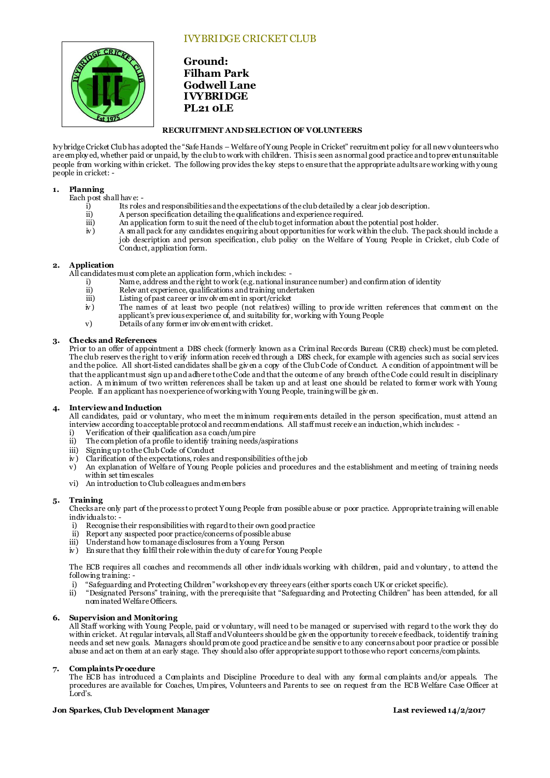# IVYBRIDGE CRICKET CLUB



**Ground: Filham Park Godwell Lane IVYBRIDGE PL21 0LE**

## **RECRUITMENT AND SELECTION OF VOLUNTEERS**

Ivy bridge Cricket Club has adopted the "Safe Hands – Welfare of Young People in Cricket" recruitment policy for all new v olunteers who are employed, whether paid or unpaid, by the club to work with children. This is seen as normal good practice and to prev ent unsuitable people from working within cricket. The following prov ides the key steps to ensure that the appropriate adults are working with y oung people in cricket: -

## **1. Planning**

Each post shall have: -<br>i) Its role

- i) Its roles and responsibilities and the expectations of the club detailed by a clear job description.<br>ii) A person specification detailing the qualifications and experience required.
- ii) A person specification detailing the qualifications and experience required.<br>iii) An application form to suit the need of the club to get information about the
- iii) An application form to suit the need of the club to get information about the potential post holder.<br>N a small pack for any candidates enquiring about opportunities for work within the club. The pack
- A small pack for any candidates enquiring about opportunities for work within the club. The pack should include a job description and person specification, club policy on the Welfare of Young People in Cricket, club Code of Conduct, application form.

# **2. Application**

All candidates must complete an application form, which includes: -<br>i) Name, address and the right to work (e.g. national in

- i) Name, address and the right to work (e.g. national insurance number) and confirmation of identity
- ii) Relev ant experience, qualifications and training undertaken<br>iii) Listing of past career or involvement in sport/cricket
- 
- iii) Listing of past career or involvement in sport/cricket  $\dot{w}$ ) The names of at least two people (not relatives) iv ) The names of at least two people (not relatives) willing to prov ide written references that comment on the applicant's prev ious experience of, and suitability for, working with Young People
- v) Details of any former inv olv ement with cricket.

# **3. Checks and References**

Prior to an offer of appointment a DBS check (formerly known as a Criminal Records Bureau (CRB) check) must be completed. The club reserv es the right to v erify information receiv ed through a DBS check, for example with agencies such as social serv ices and the police. All short-listed candidates shall be giv en a copy of the Club Code of Conduct. A condition of appointment will be that the applicant must sign up and adhere to the Code and that the outcome of any breach of the Code could result in disciplinary action. A minimum of two written references shall be taken up and at least one should be related to former work with Young People. If an applicant has no experience of working with Young People, training will be giv en.

## **4. Interview and Induction**

All candidates, paid or v oluntary, who meet the minimum requirements detailed in the person specification, must attend an interview according to acceptable protocol and recommendations. All staff must receiv e an induction, which includes: -

- i) Verification of their qualification as a coach/um pire<br>ii) The completion of a profile to identify training needs
- The completion of a profile to identify training needs/aspirations
- iii) Signing up to the Club Code of Conduct<br>iv) Clarification of the expectations, roles as
- Clarification of the expectations, roles and responsibilities of the job
- v) An explanation of Welfare of Young People policies and procedures and the establishment and meeting of training needs within set timescales
- vi) An introduction to Club colleagues and members

### **5. Training**

Checks are only part of the process to protect Young People from possible abuse or poor practice. Appropriate training will enable indiv iduals to: -

- i) Recognise their responsibilities with regard to their own good practice<br>ii) Report any suspected poor practice/concerns of possible abuse
- ii) Report any suspected poor practice/concerns of possible abuse
- Understand how to manage disclosures from a Young Person
- iv ) En sure that they fulfil their role within the duty of care for Young People

The ECB requires all coaches and recommends all other indiv iduals working with children, paid and v oluntary , to attend the following training: -

- i) "Safeguarding and Protecting Children" workshop ev ery three y ears (either sports coach UK or cricket specific).<br>ii) "Designated Persons" training, with the prerequisite that "Safeguarding and Protecting Children" has
- ii) "Designated Persons" training, with the prerequisite that "Safeguarding and Protecting Children" has been attended, for all nominated Welfare Officers.

### **6. Supervision and Monitoring**

All Staff working with Young People, paid or v oluntary, will need to be managed or supervised with regard to the work they do within cricket. At regular intervals, all Staff and Volunteers should be given the opportunity to receive feedback, to identify training needs and set new goals. Managers should promote good practice and be sensitiv e to any concerns about poor practice or possible abuse and act on them at an early stage. They should also offer appropriate support to those who report concerns/complaints.

### **7. Complaints Procedure**

The ECB has introduced a Complaints and Discipline Procedure to deal with any formal complaints and/or appeals. The procedures are available for Coaches, Umpires, Volunteers and Parents to see on request fr om the ECB Welfare Case Officer at Lord's.

### **Jon Sparkes, Club Development Manager Last reviewed 14/2/2017**